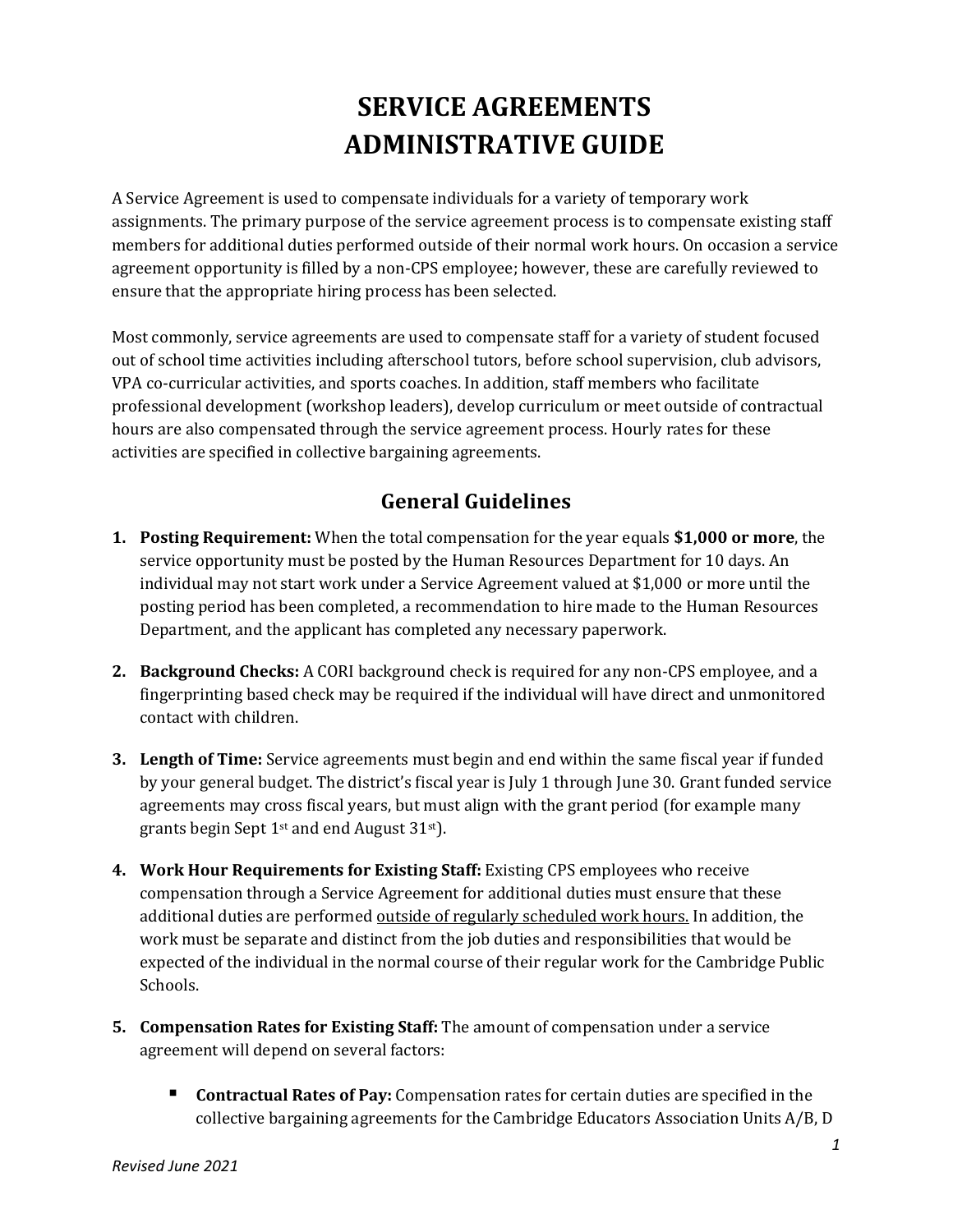# **SERVICE AGREEMENTS ADMINISTRATIVE GUIDE**

A Service Agreement is used to compensate individuals for a variety of temporary work assignments. The primary purpose of the service agreement process is to compensate existing staff members for additional duties performed outside of their normal work hours. On occasion a service agreement opportunity is filled by a non-CPS employee; however, these are carefully reviewed to ensure that the appropriate hiring process has been selected.

Most commonly, service agreements are used to compensate staff for a variety of student focused out of school time activities including afterschool tutors, before school supervision, club advisors, VPA co-curricular activities, and sports coaches. In addition, staff members who facilitate professional development (workshop leaders), develop curriculum or meet outside of contractual hours are also compensated through the service agreement process. Hourly rates for these activities are specified in collective bargaining agreements.

# **General Guidelines**

- **1. Posting Requirement:** When the total compensation for the year equals **\$1,000 or more**, the service opportunity must be posted by the Human Resources Department for 10 days. An individual may not start work under a Service Agreement valued at \$1,000 or more until the posting period has been completed, a recommendation to hire made to the Human Resources Department, and the applicant has completed any necessary paperwork.
- **2. Background Checks:** A CORI background check is required for any non-CPS employee, and a fingerprinting based check may be required if the individual will have direct and unmonitored contact with children.
- **3. Length of Time:** Service agreements must begin and end within the same fiscal year if funded by your general budget. The district's fiscal year is July 1 through June 30. Grant funded service agreements may cross fiscal years, but must align with the grant period (for example many grants begin Sept  $1<sup>st</sup>$  and end August 31 $<sup>st</sup>$ ).</sup>
- **4. Work Hour Requirements for Existing Staff:** Existing CPS employees who receive compensation through a Service Agreement for additional duties must ensure that these additional duties are performed outside of regularly scheduled work hours. In addition, the work must be separate and distinct from the job duties and responsibilities that would be expected of the individual in the normal course of their regular work for the Cambridge Public Schools.
- **5. Compensation Rates for Existing Staff:** The amount of compensation under a service agreement will depend on several factors:
	- **Contractual Rates of Pay:** Compensation rates for certain duties are specified in the collective bargaining agreements for the Cambridge Educators Association Units  $A/B$ , D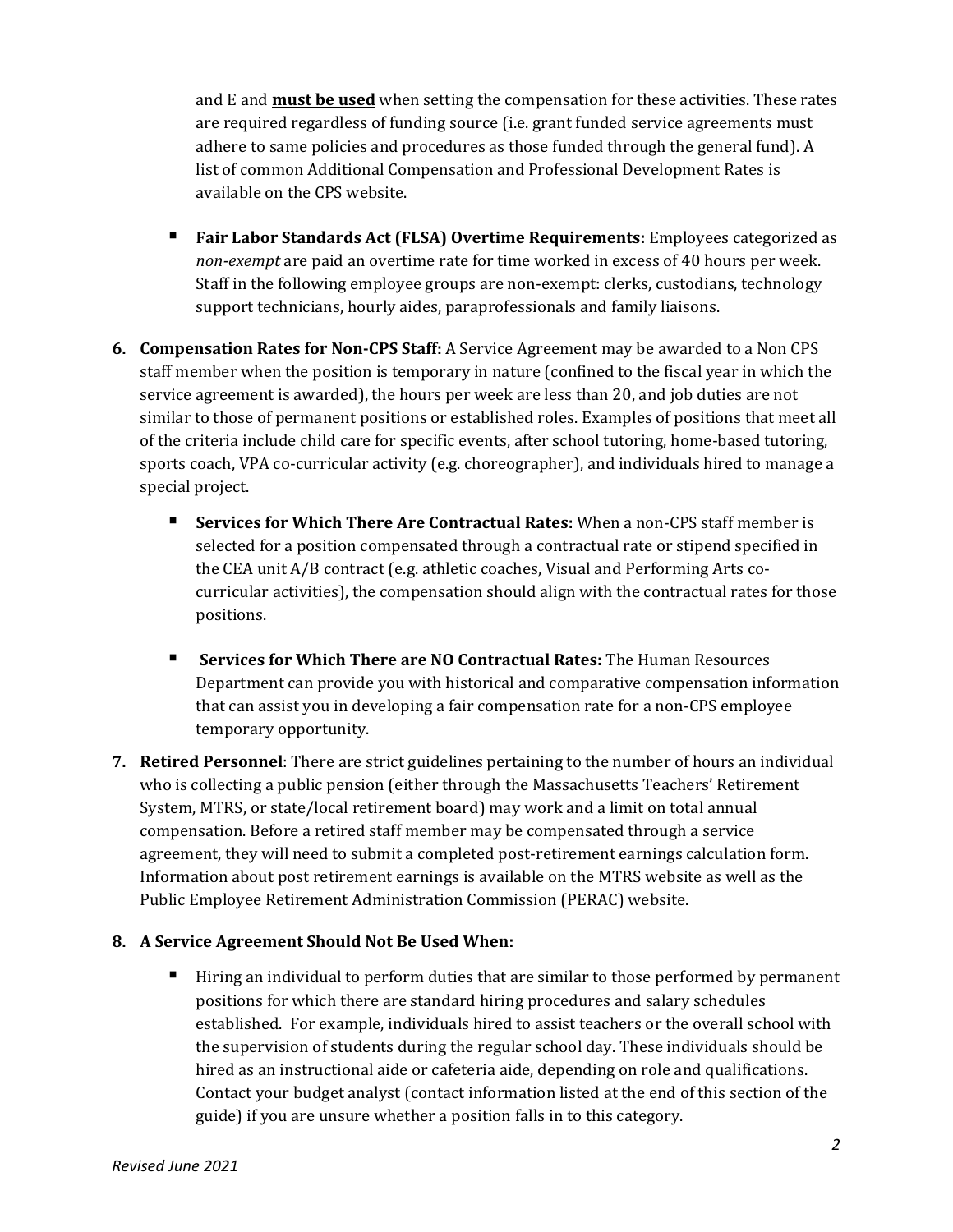and E and **must be used** when setting the compensation for these activities. These rates are required regardless of funding source (i.e. grant funded service agreements must adhere to same policies and procedures as those funded through the general fund). A list of common Additional Compensation and Professional Development Rates is available on the CPS website.

- **Fair Labor Standards Act (FLSA) Overtime Requirements:** Employees categorized as *non-exempt* are paid an overtime rate for time worked in excess of 40 hours per week. Staff in the following employee groups are non-exempt: clerks, custodians, technology support technicians, hourly aides, paraprofessionals and family liaisons.
- **6. Compensation Rates for Non-CPS Staff:** A Service Agreement may be awarded to a Non CPS staff member when the position is temporary in nature (confined to the fiscal year in which the service agreement is awarded), the hours per week are less than 20, and job duties are not similar to those of permanent positions or established roles. Examples of positions that meet all of the criteria include child care for specific events, after school tutoring, home-based tutoring, sports coach, VPA co-curricular activity (e.g. choreographer), and individuals hired to manage a special project.
	- **Services for Which There Are Contractual Rates:** When a non-CPS staff member is selected for a position compensated through a contractual rate or stipend specified in the CEA unit A/B contract (e.g. athletic coaches, Visual and Performing Arts cocurricular activities), the compensation should align with the contractual rates for those positions.
	- **Services for Which There are NO Contractual Rates:** The Human Resources Department can provide you with historical and comparative compensation information that can assist you in developing a fair compensation rate for a non-CPS employee temporary opportunity.
- **7. Retired Personnel**: There are strict guidelines pertaining to the number of hours an individual who is collecting a public pension (either through the Massachusetts Teachers' Retirement System, MTRS, or state/local retirement board) may work and a limit on total annual compensation. Before a retired staff member may be compensated through a service agreement, they will need to submit a completed post-retirement earnings calculation form. Information about post retirement earnings is available on the MTRS website as well as the Public Employee Retirement Administration Commission (PERAC) website.

#### **8. A Service Agreement Should Not Be Used When:**

 Hiring an individual to perform duties that are similar to those performed by permanent positions for which there are standard hiring procedures and salary schedules established. For example, individuals hired to assist teachers or the overall school with the supervision of students during the regular school day. These individuals should be hired as an instructional aide or cafeteria aide, depending on role and qualifications. Contact your budget analyst (contact information listed at the end of this section of the guide) if you are unsure whether a position falls in to this category.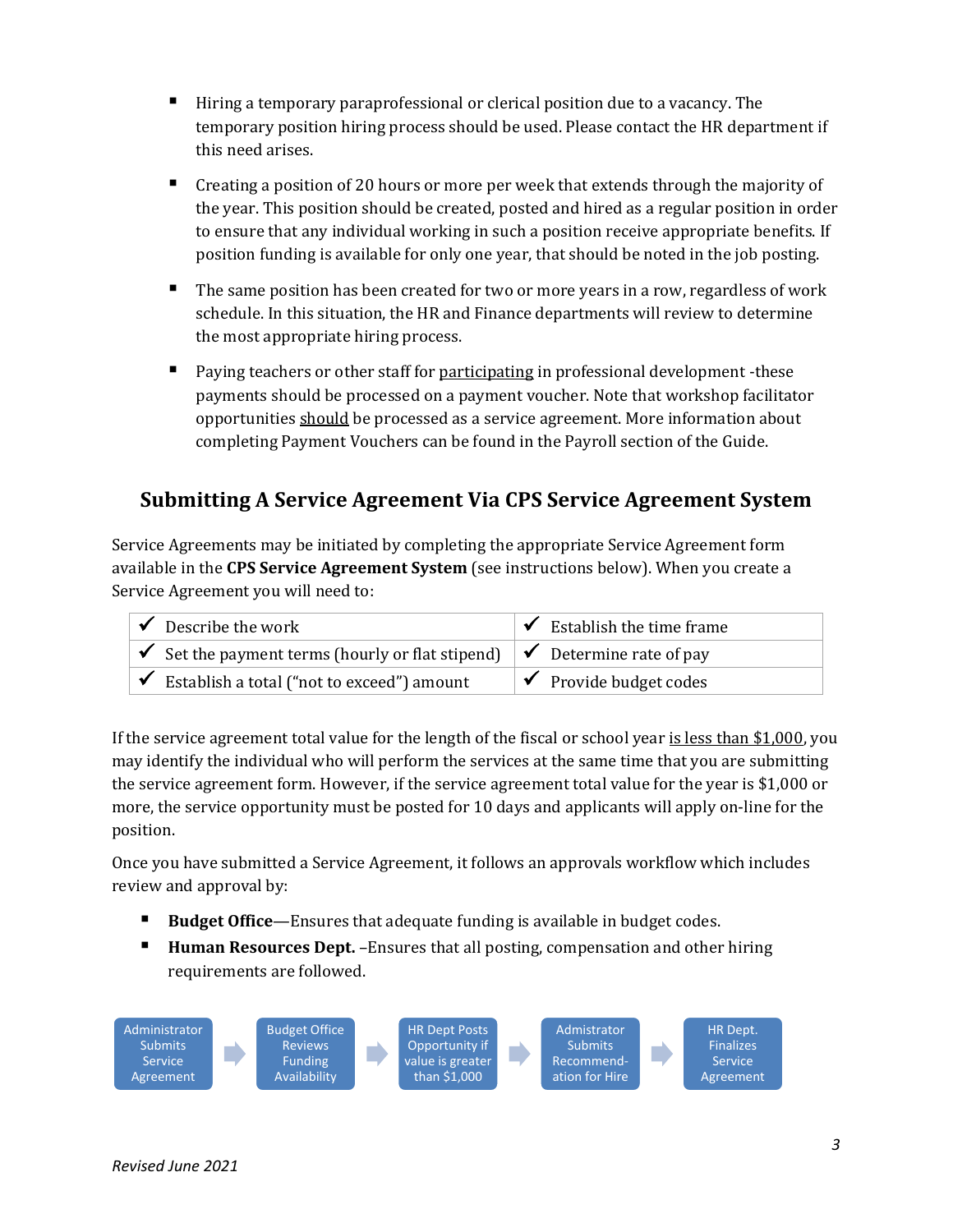- Hiring a temporary paraprofessional or clerical position due to a vacancy. The temporary position hiring process should be used. Please contact the HR department if this need arises.
- Creating a position of 20 hours or more per week that extends through the majority of the year. This position should be created, posted and hired as a regular position in order to ensure that any individual working in such a position receive appropriate benefits. If position funding is available for only one year, that should be noted in the job posting.
- The same position has been created for two or more years in a row, regardless of work schedule. In this situation, the HR and Finance departments will review to determine the most appropriate hiring process.
- Paying teachers or other staff for participating in professional development -these payments should be processed on a payment voucher. Note that workshop facilitator opportunities should be processed as a service agreement. More information about completing Payment Vouchers can be found in the Payroll section of the Guide.

# **Submitting A Service Agreement Via CPS Service Agreement System**

Service Agreements may be initiated by completing the appropriate Service Agreement form available in the **CPS Service Agreement System** (see instructions below). When you create a Service Agreement you will need to:

| $\triangleright$ Describe the work                                                       | $\checkmark$ Establish the time frame |
|------------------------------------------------------------------------------------------|---------------------------------------|
| $\forall$ Set the payment terms (hourly or flat stipend) $\forall$ Determine rate of pay |                                       |
| $\checkmark$ Establish a total ("not to exceed") amount                                  | $\checkmark$ Provide budget codes     |

If the service agreement total value for the length of the fiscal or school year is less than \$1,000, you may identify the individual who will perform the services at the same time that you are submitting the service agreement form. However, if the service agreement total value for the year is \$1,000 or more, the service opportunity must be posted for 10 days and applicants will apply on-line for the position.

Once you have submitted a Service Agreement, it follows an approvals workflow which includes review and approval by:

- Budget Office—Ensures that adequate funding is available in budget codes.
- **Human Resources Dept.** –Ensures that all posting, compensation and other hiring requirements are followed.

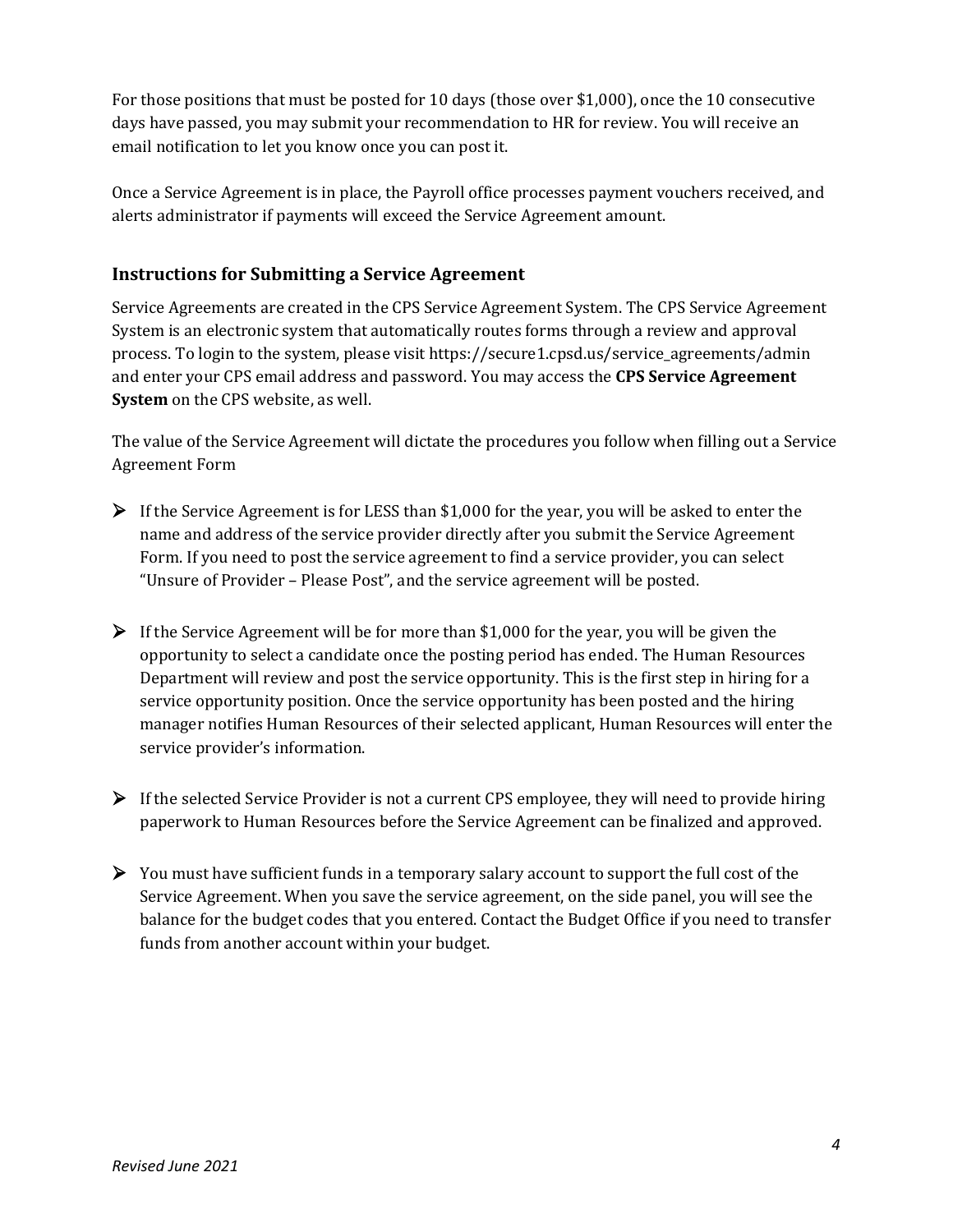For those positions that must be posted for 10 days (those over \$1,000), once the 10 consecutive days have passed, you may submit your recommendation to HR for review. You will receive an email notification to let you know once you can post it.

Once a Service Agreement is in place, the Payroll office processes payment vouchers received, and alerts administrator if payments will exceed the Service Agreement amount.

### **Instructions for Submitting a Service Agreement**

Service Agreements are created in the CPS Service Agreement System. The CPS Service Agreement System is an electronic system that automatically routes forms through a review and approval process. To login to the system, please visit https://secure1.cpsd.us/service\_agreements/admin and enter your CPS email address and password. You may access the **CPS Service Agreement System** on the CPS website, as well.

The value of the Service Agreement will dictate the procedures you follow when filling out a Service Agreement Form

- $\triangleright$  If the Service Agreement is for LESS than \$1,000 for the year, you will be asked to enter the name and address of the service provider directly after you submit the Service Agreement Form. If you need to post the service agreement to find a service provider, you can select "Unsure of Provider – Please Post", and the service agreement will be posted.
- $\triangleright$  If the Service Agreement will be for more than \$1,000 for the year, you will be given the opportunity to select a candidate once the posting period has ended. The Human Resources Department will review and post the service opportunity. This is the first step in hiring for a service opportunity position. Once the service opportunity has been posted and the hiring manager notifies Human Resources of their selected applicant, Human Resources will enter the service provider's information.
- $\triangleright$  If the selected Service Provider is not a current CPS employee, they will need to provide hiring paperwork to Human Resources before the Service Agreement can be finalized and approved.
- $\triangleright$  You must have sufficient funds in a temporary salary account to support the full cost of the Service Agreement. When you save the service agreement, on the side panel, you will see the balance for the budget codes that you entered. Contact the Budget Office if you need to transfer funds from another account within your budget.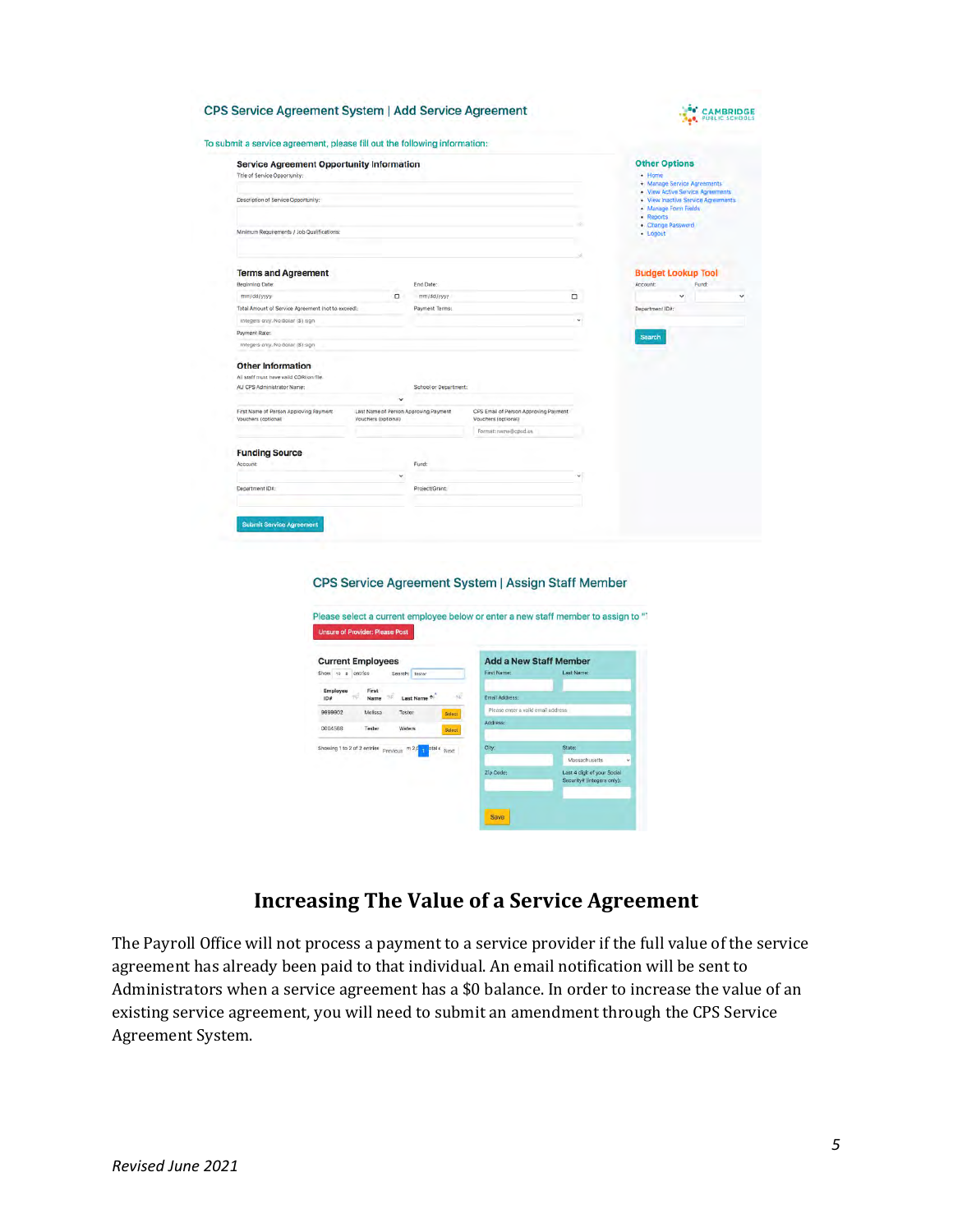

| <b>CPS Service Agreement System   Add Service Agreement</b>               |
|---------------------------------------------------------------------------|
| To submit a service agreement, please fill out the following information: |

| omit a service agreement, please fill out the following information:              |                                                              |                       |                                                              |          |                                                                                                           |
|-----------------------------------------------------------------------------------|--------------------------------------------------------------|-----------------------|--------------------------------------------------------------|----------|-----------------------------------------------------------------------------------------------------------|
| <b>Service Agreement Opportunity Information</b><br>Title of Service Opportunity: |                                                              |                       |                                                              |          | <b>Other Options</b><br>$\cdot$ Home<br>+ Manage Service Agreements                                       |
| Description of Service Opportunity:                                               |                                                              |                       |                                                              |          | . View Active Service Agreements<br>. View Inactive Service Agreements<br>Manage Form Fields<br>- Reports |
| Minimum Requirements / Job Qualifications:                                        |                                                              |                       |                                                              |          | . Change Password<br>$-$ Logout                                                                           |
|                                                                                   |                                                              |                       |                                                              |          |                                                                                                           |
| <b>Terms and Agreement</b><br>Beginning Date:                                     |                                                              | End Date:             |                                                              |          | <b>Budget Lookup Tool</b><br>Fund<br>Account:                                                             |
| mm/dd/yyyy                                                                        | о                                                            | mm/dd/yyyy            |                                                              | ٠        | v                                                                                                         |
| Total Amount of Service Agreement (not to exceed):                                |                                                              | Payment Terms:        |                                                              |          | Department IDA:                                                                                           |
| Integers any. No dollar (\$) sign-                                                |                                                              |                       |                                                              | $\omega$ |                                                                                                           |
| Payment Rate:                                                                     |                                                              |                       |                                                              |          |                                                                                                           |
| Integers any. No dollar (\$) sign                                                 |                                                              |                       |                                                              |          | Search                                                                                                    |
| <b>Other Information</b>                                                          |                                                              |                       |                                                              |          |                                                                                                           |
| All staff must have valid CORI on file.                                           |                                                              |                       |                                                              |          |                                                                                                           |
| AU CPS Administrator Name:                                                        |                                                              | School or Department: |                                                              |          |                                                                                                           |
|                                                                                   | ×                                                            |                       |                                                              |          |                                                                                                           |
| First Name of Person Approving Payment<br>Vouchars (optional)                     | Last Name of Person Approving Payment<br>Vouchers (optional) |                       | CPS Email of Person Approving Payment<br>Vouchers (optional) |          |                                                                                                           |
|                                                                                   |                                                              |                       | Format: name@cpod.us                                         |          |                                                                                                           |
| <b>Funding Source</b>                                                             |                                                              |                       |                                                              |          |                                                                                                           |
| Account:                                                                          |                                                              | Fund:                 |                                                              |          |                                                                                                           |
|                                                                                   | $\mathcal{M}$                                                |                       |                                                              | w        |                                                                                                           |
|                                                                                   |                                                              | Project/Grant:        |                                                              |          |                                                                                                           |
| Department ID#:                                                                   |                                                              |                       |                                                              |          |                                                                                                           |

#### CPS Service Agreement System | Assign Staff Member



### **Increasing The Value of a Service Agreement**

The Payroll Office will not process a payment to a service provider if the full value of the service agreement has already been paid to that individual. An email notification will be sent to Administrators when a service agreement has a \$0 balance. In order to increase the value of an existing service agreement, you will need to submit an amendment through the CPS Service Agreement System.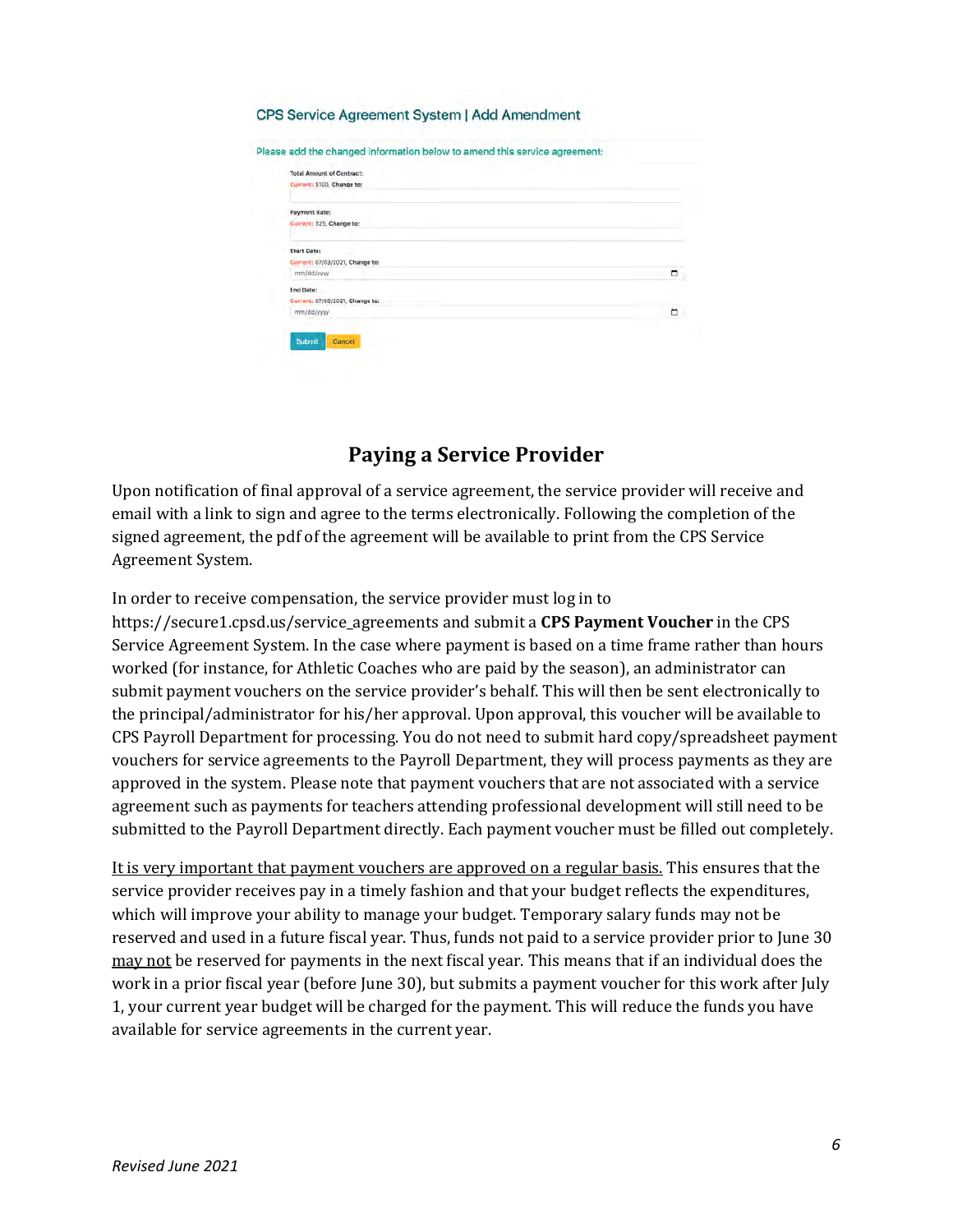#### CPS Service Agreement System | Add Amendment

| Payment Rate:                   |  |
|---------------------------------|--|
| Gurrant: \$25, Change to:       |  |
| Start Date:                     |  |
| Current: 07/03/2021, Change to: |  |
| mm/dd/yyyy                      |  |
| End Date:                       |  |
| Current: 07/08/2021, Change to: |  |
| mm/dd/yyyy                      |  |

### **Paying a Service Provider**

Upon notification of final approval of a service agreement, the service provider will receive and email with a link to sign and agree to the terms electronically. Following the completion of the signed agreement, the pdf of the agreement will be available to print from the CPS Service Agreement System.

In order to receive compensation, the service provider must log in to https://secure1.cpsd.us/service\_agreements and submit a **CPS Payment Voucher** in the CPS Service Agreement System. In the case where payment is based on a time frame rather than hours worked (for instance, for Athletic Coaches who are paid by the season), an administrator can submit payment vouchers on the service provider's behalf. This will then be sent electronically to the principal/administrator for his/her approval. Upon approval, this voucher will be available to CPS Payroll Department for processing. You do not need to submit hard copy/spreadsheet payment vouchers for service agreements to the Payroll Department, they will process payments as they are approved in the system. Please note that payment vouchers that are not associated with a service agreement such as payments for teachers attending professional development will still need to be submitted to the Payroll Department directly. Each payment voucher must be filled out completely.

It is very important that payment vouchers are approved on a regular basis. This ensures that the service provider receives pay in a timely fashion and that your budget reflects the expenditures, which will improve your ability to manage your budget. Temporary salary funds may not be reserved and used in a future fiscal year. Thus, funds not paid to a service provider prior to June 30 may not be reserved for payments in the next fiscal year. This means that if an individual does the work in a prior fiscal year (before June 30), but submits a payment voucher for this work after July 1, your current year budget will be charged for the payment. This will reduce the funds you have available for service agreements in the current year.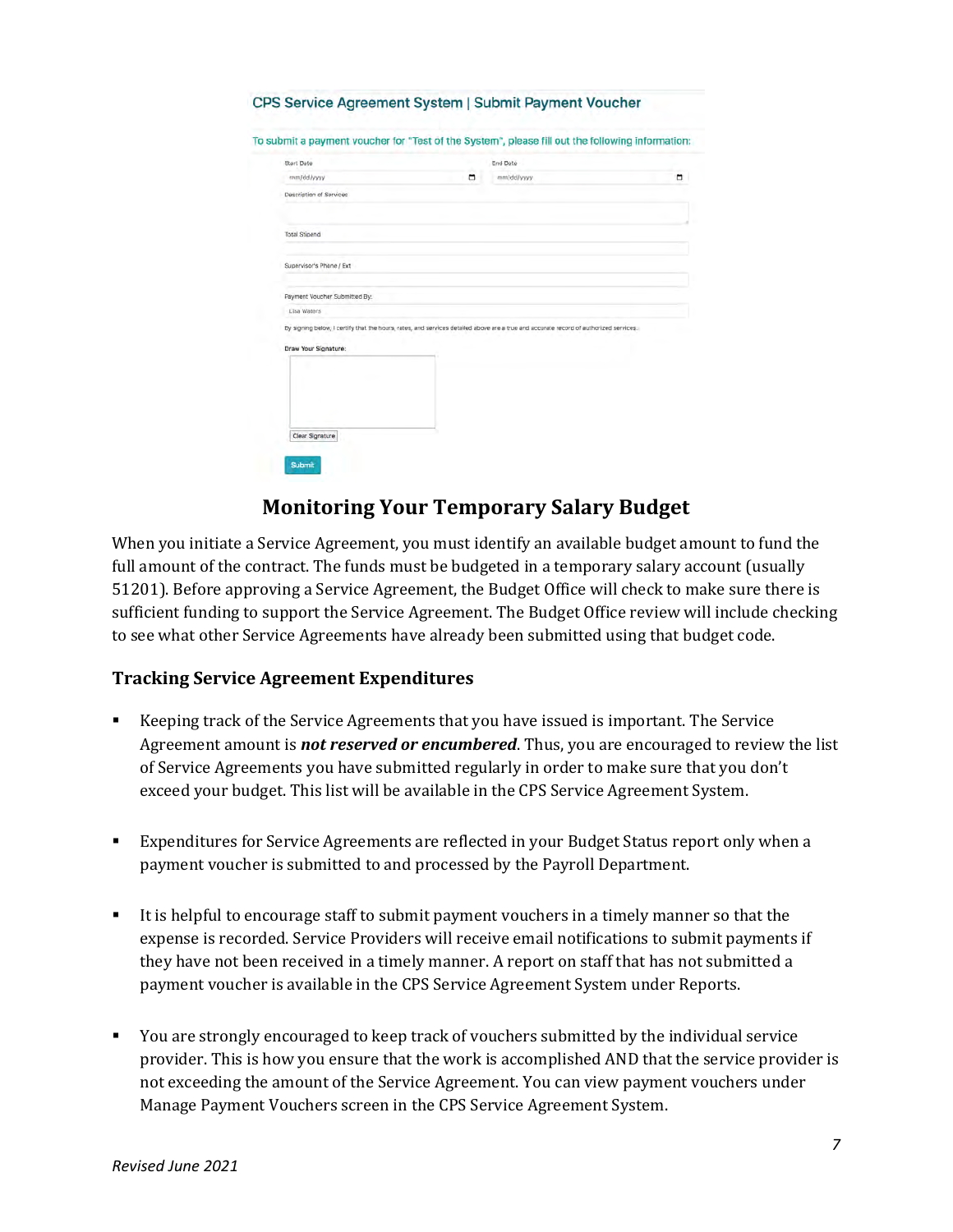| To submit a payment voucher for "Test of the System", please fill out the following information:                                                              |   |            |   |
|---------------------------------------------------------------------------------------------------------------------------------------------------------------|---|------------|---|
| Start Date                                                                                                                                                    |   | End Date   |   |
| mm/dd/yyyy                                                                                                                                                    | ۰ | mm/dd/yyyy | ٠ |
| Description of Services                                                                                                                                       |   |            |   |
| Total Stipend                                                                                                                                                 |   |            |   |
| Supervisor's Phone / Ext                                                                                                                                      |   |            |   |
| Payment Voucher Submitted By:                                                                                                                                 |   |            |   |
| Lisa Waters                                                                                                                                                   |   |            |   |
| By signing below, I certify that the hours, rates, and services detailed above are a true and accurate record of authorized services.<br>Draw Your Signature: |   |            |   |
|                                                                                                                                                               |   |            |   |
|                                                                                                                                                               |   |            |   |
|                                                                                                                                                               |   |            |   |

# **Monitoring Your Temporary Salary Budget**

When you initiate a Service Agreement, you must identify an available budget amount to fund the full amount of the contract. The funds must be budgeted in a temporary salary account (usually 51201). Before approving a Service Agreement, the Budget Office will check to make sure there is sufficient funding to support the Service Agreement. The Budget Office review will include checking to see what other Service Agreements have already been submitted using that budget code.

### **Tracking Service Agreement Expenditures**

- Keeping track of the Service Agreements that you have issued is important. The Service Agreement amount is *not reserved or encumbered*. Thus, you are encouraged to review the list of Service Agreements you have submitted regularly in order to make sure that you don't exceed your budget. This list will be available in the CPS Service Agreement System.
- Expenditures for Service Agreements are reflected in your Budget Status report only when a payment voucher is submitted to and processed by the Payroll Department.
- It is helpful to encourage staff to submit payment vouchers in a timely manner so that the expense is recorded. Service Providers will receive email notifications to submit payments if they have not been received in a timely manner. A report on staff that has not submitted a payment voucher is available in the CPS Service Agreement System under Reports.
- You are strongly encouraged to keep track of vouchers submitted by the individual service provider. This is how you ensure that the work is accomplished AND that the service provider is not exceeding the amount of the Service Agreement. You can view payment vouchers under Manage Payment Vouchers screen in the CPS Service Agreement System.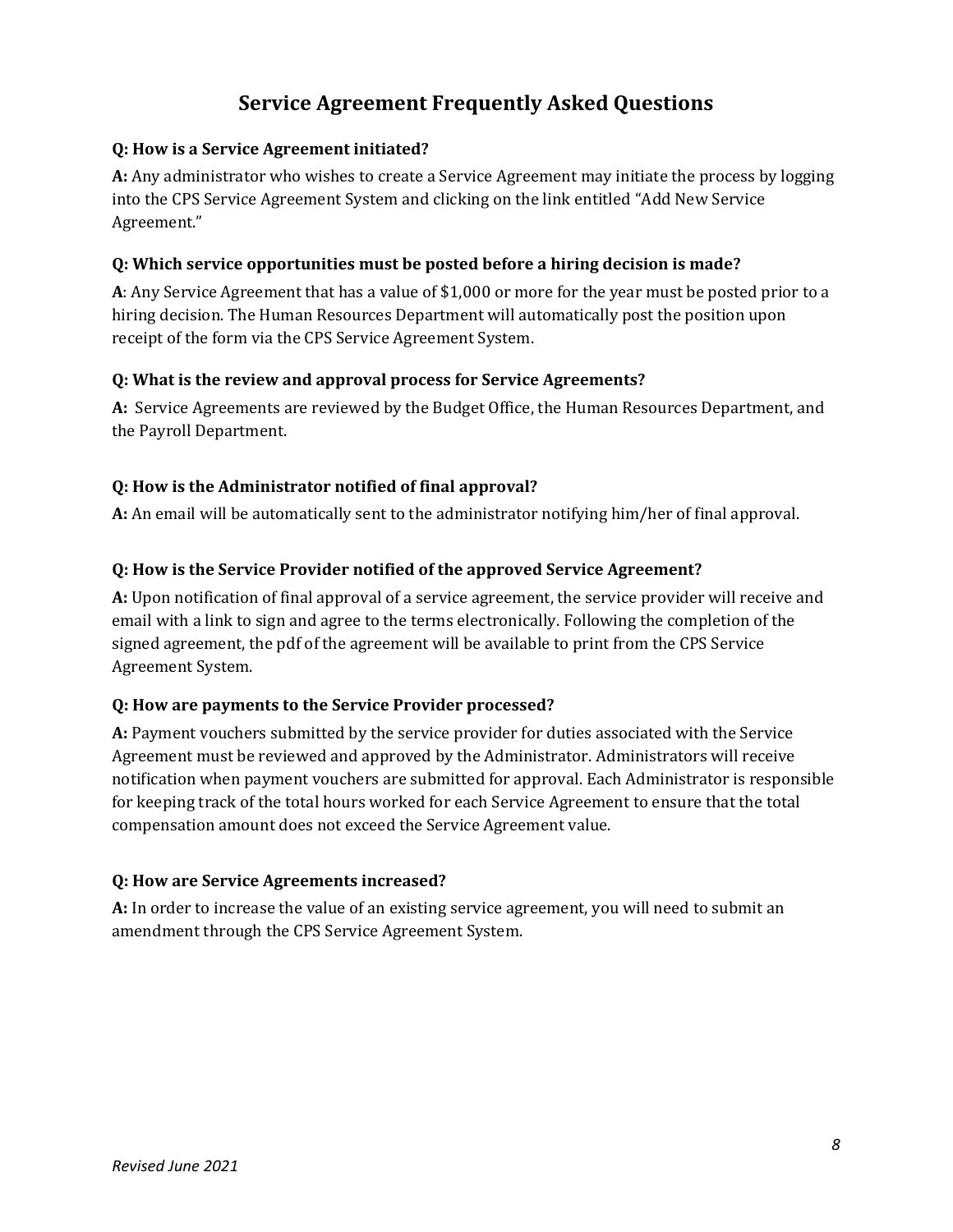# **Service Agreement Frequently Asked Questions**

### **Q: How is a Service Agreement initiated?**

**A:** Any administrator who wishes to create a Service Agreement may initiate the process by logging into the CPS Service Agreement System and clicking on the link entitled "Add New Service Agreement."

### **Q: Which service opportunities must be posted before a hiring decision is made?**

**A**: Any Service Agreement that has a value of \$1,000 or more for the year must be posted prior to a hiring decision. The Human Resources Department will automatically post the position upon receipt of the form via the CPS Service Agreement System.

### **Q: What is the review and approval process for Service Agreements?**

**A:** Service Agreements are reviewed by the Budget Office, the Human Resources Department, and the Payroll Department.

### **Q: How is the Administrator notified of final approval?**

**A:** An email will be automatically sent to the administrator notifying him/her of final approval.

### **Q: How is the Service Provider notified of the approved Service Agreement?**

**A:** Upon notification of final approval of a service agreement, the service provider will receive and email with a link to sign and agree to the terms electronically. Following the completion of the signed agreement, the pdf of the agreement will be available to print from the CPS Service Agreement System.

#### **Q: How are payments to the Service Provider processed?**

**A:** Payment vouchers submitted by the service provider for duties associated with the Service Agreement must be reviewed and approved by the Administrator. Administrators will receive notification when payment vouchers are submitted for approval. Each Administrator is responsible for keeping track of the total hours worked for each Service Agreement to ensure that the total compensation amount does not exceed the Service Agreement value.

### **Q: How are Service Agreements increased?**

**A:** In order to increase the value of an existing service agreement, you will need to submit an amendment through the CPS Service Agreement System.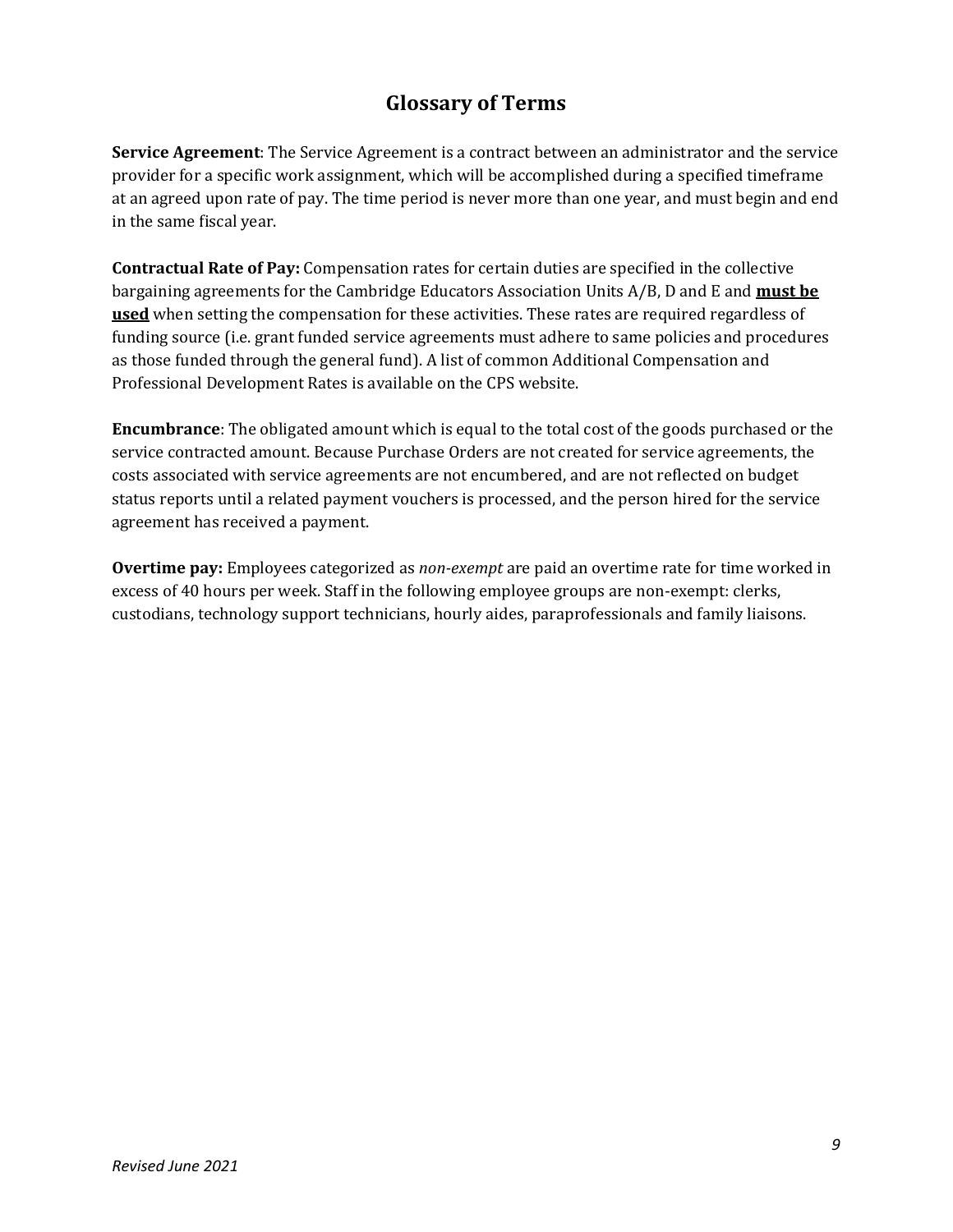# **Glossary of Terms**

**Service Agreement**: The Service Agreement is a contract between an administrator and the service provider for a specific work assignment, which will be accomplished during a specified timeframe at an agreed upon rate of pay. The time period is never more than one year, and must begin and end in the same fiscal year.

**Contractual Rate of Pay:** Compensation rates for certain duties are specified in the collective bargaining agreements for the Cambridge Educators Association Units A/B, D and E and **must be used** when setting the compensation for these activities. These rates are required regardless of funding source (i.e. grant funded service agreements must adhere to same policies and procedures as those funded through the general fund). A list of common Additional Compensation and Professional Development Rates is available on the CPS website.

**Encumbrance**: The obligated amount which is equal to the total cost of the goods purchased or the service contracted amount. Because Purchase Orders are not created for service agreements, the costs associated with service agreements are not encumbered, and are not reflected on budget status reports until a related payment vouchers is processed, and the person hired for the service agreement has received a payment.

**Overtime pay:** Employees categorized as *non-exempt* are paid an overtime rate for time worked in excess of 40 hours per week. Staff in the following employee groups are non-exempt: clerks, custodians, technology support technicians, hourly aides, paraprofessionals and family liaisons.